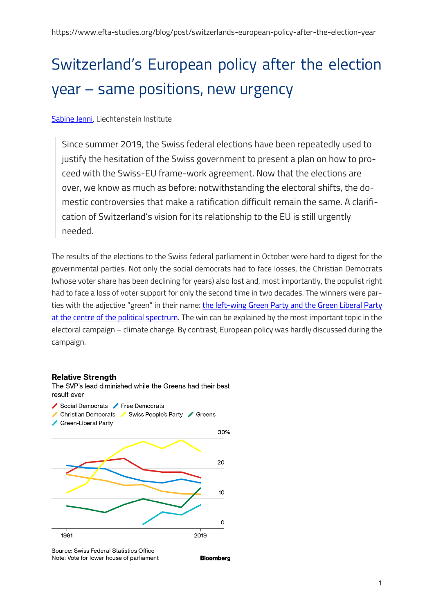# Switzerland's European policy after the election year – same positions, new urgency

[Sabine](https://www.sabinejenni.net/) Jenni, Liechtenstein Institute

Since summer 2019, the Swiss federal elections have been repeatedly used to justify the hesitation of the Swiss government to present a plan on how to proceed with the Swiss-EU frame-work agreement. Now that the elections are over, we know as much as before: notwithstanding the electoral shifts, the domestic controversies that make a ratification difficult remain the same. A clarification of Switzerland's vision for its relationship to the EU is still urgently needed.

The results of the elections to the Swiss federal parliament in October were hard to digest for the governmental parties. Not only the social democrats had to face losses, the Christian Democrats (whose voter share has been declining for years) also lost and, most importantly, the populist right had to face a loss of voter support for only the second time in two decades. The winners were parties with the adjective "green" in their name: the left-wing Green Party and the Green Liberal Party [at the centre of the political spectrum.](https://www.swissinfo.ch/eng/switzerland-election--2019-results-maps/45312474) The win can be explained by the most important topic in the electoral campaign – climate change. By contrast, European policy was hardly discussed during the campaign.

#### **Relative Strength**



Source: Swiss Federal Statistics Office Note: Vote for lower house of parliament

**Bloomberg**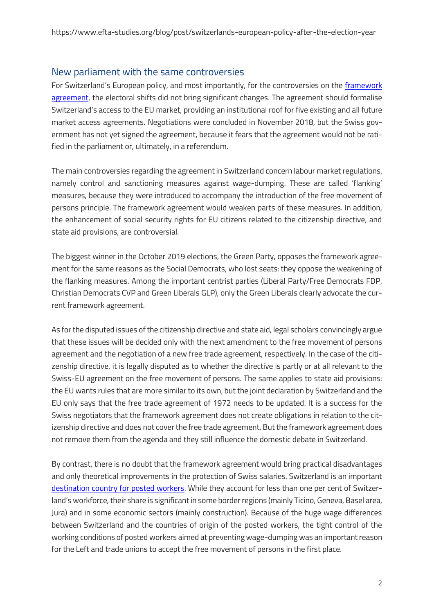### New parliament with the same controversies

For Switzerland's European policy, and most importantly, for the controversies on the *framework* [agreement,](https://www.eda.admin.ch/dea/en/home/verhandlungen-offene-themen/verhandlungen/institutionelles-abkommen.html) the electoral shifts did not bring significant changes. The agreement should formalise Switzerland's access to the EU market, providing an institutional roof for five existing and all future market access agreements. Negotiations were concluded in November 2018, but the Swiss government has not yet signed the agreement, because it fears that the agreement would not be ratified in the parliament or, ultimately, in a referendum.

The main controversies regarding the agreement in Switzerland concern labour market regulations, namely control and sanctioning measures against wage-dumping. These are called 'flanking' measures, because they were introduced to accompany the introduction of the free movement of persons principle. The framework agreement would weaken parts of these measures. In addition, the enhancement of social security rights for EU citizens related to the citizenship directive, and state aid provisions, are controversial.

The biggest winner in the October 2019 elections, the Green Party, opposes the framework agreement for the same reasons as the Social Democrats, who lost seats: they oppose the weakening of the flanking measures. Among the important centrist parties (Liberal Party/Free Democrats FDP, Christian Democrats CVP and Green Liberals GLP), only the Green Liberals clearly advocate the current framework agreement.

As for the disputed issues of the citizenship directive and state aid, legal scholars convincingly argue that these issues will be decided only with the next amendment to the free movement of persons agreement and the negotiation of a new free trade agreement, respectively. In the case of the citizenship directive, it is legally disputed as to whether the directive is partly or at all relevant to the Swiss-EU agreement on the free movement of persons. The same applies to state aid provisions: the EU wants rules that are more similar to its own, but the joint declaration by Switzerland and the EU only says that the free trade agreement of 1972 needs to be updated. It is a success for the Swiss negotiators that the framework agreement does not create obligations in relation to the citizenship directive and does not cover the free trade agreement. But the framework agreement does not remove them from the agenda and they still influence the domestic debate in Switzerland.

By contrast, there is no doubt that the framework agreement would bring practical disadvantages and only theoretical improvements in the protection of Swiss salaries. Switzerland is an important [destination country for posted workers.](https://www.seco.admin.ch/seco/de/home/Publikationen_Dienstleistungen/Publikationen_und_Formulare/Arbeit/Personenfreizuegigkeit_und_Arbeitsbeziehungen/observatoriumsberichte/14_Bericht_Observatoriums_Freizuegigkeitsabkommen_Schweiz_EU.html) While they account for less than one per cent of Switzerland's workforce, their share is significant in some border regions (mainly Ticino, Geneva, Basel area, Jura) and in some economic sectors (mainly construction). Because of the huge wage differences between Switzerland and the countries of origin of the posted workers, the tight control of the working conditions of posted workers aimed at preventing wage-dumping was an important reason for the Left and trade unions to accept the free movement of persons in the first place.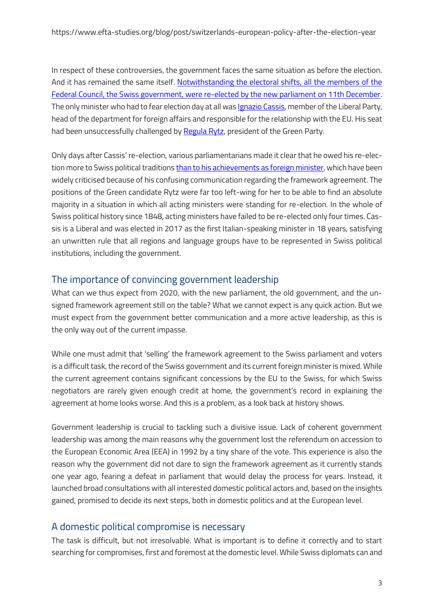In respect of these controversies, the government faces the same situation as before the election. And it has remained the same itself. [Notwithstanding the electoral shifts, all the members of the](https://www.admin.ch/gov/en/start.html)  Federal Council, [the Swiss government, were re-elected by the new parliament on 11th December.](https://www.admin.ch/gov/en/start.html) The only minister who had to fear election day at all was *Ignazio Cassis*, member of the Liberal Party, head of the department for foreign affairs and responsible for the relationship with the EU. His seat had been unsuccessfully challenged by [Regula Rytz,](https://www.parlament.ch/en/biografie/regula-rytz/4095) president of the Green Party.

Only days after Cassis' re-election, various parliamentarians made it clear that he owed his re-election more to Swiss political tradition[s than to his achievements as foreign minister,](https://www.nzz.ch/schweiz/pfister-zur-bundesratswahl-cassis-hat-einen-fehler-gemacht-ld.1527649?reduced=true) which have been widely criticised because of his confusing communication regarding the framework agreement. The positions of the Green candidate Rytz were far too left-wing for her to be able to find an absolute majority in a situation in which all acting ministers were standing for re-election. In the whole of Swiss political history since 1848, acting ministers have failed to be re-elected only four times. Cassis is a Liberal and was elected in 2017 as the first Italian-speaking minister in 18 years, satisfying an unwritten rule that all regions and language groups have to be represented in Swiss political institutions, including the government.

### The importance of convincing government leadership

What can we thus expect from 2020, with the new parliament, the old government, and the unsigned framework agreement still on the table? What we cannot expect is any quick action. But we must expect from the government better communication and a more active leadership, as this is the only way out of the current impasse.

While one must admit that 'selling' the framework agreement to the Swiss parliament and voters is a difficult task, the record of the Swiss government and its current foreign minister is mixed. While the current agreement contains significant concessions by the EU to the Swiss, for which Swiss negotiators are rarely given enough credit at home, the government's record in explaining the agreement at home looks worse. And this is a problem, as a look back at history shows.

Government leadership is crucial to tackling such a divisive issue. Lack of coherent government leadership was among the main reasons why the government lost the referendum on accession to the European Economic Area (EEA) in 1992 by a tiny share of the vote. This experience is also the reason why the government did not dare to sign the framework agreement as it currently stands one year ago, fearing a defeat in parliament that would delay the process for years. Instead, it launched broad consultations with all interested domestic political actors and, based on the insights gained, promised to decide its next steps, both in domestic politics and at the European level.

# A domestic political compromise is necessary

The task is difficult, but not irresolvable. What is important is to define it correctly and to start searching for compromises, first and foremost at the domestic level. While Swiss diplomats can and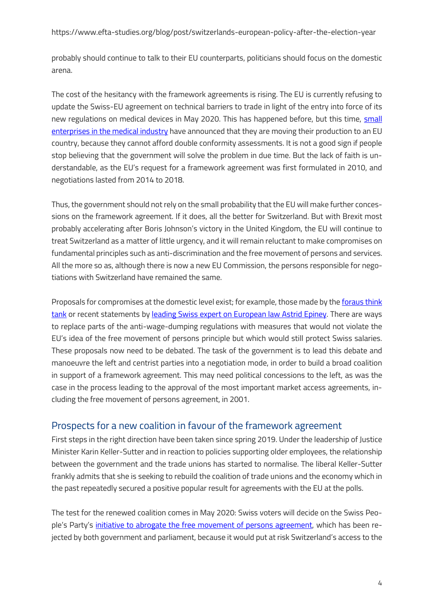https://www.efta-studies.org/blog/post/switzerlands-european-policy-after-the-election-year

probably should continue to talk to their EU counterparts, politicians should focus on the domestic arena.

The cost of the hesitancy with the framework agreements is rising. The EU is currently refusing to update the Swiss-EU agreement on technical barriers to trade in light of the entry into force of its new regulations on medical devices in May 2020. This has happened before, but this time, [small](https://www.aargauerzeitung.ch/schweiz/eu-zoegert-mit-neuen-regeln-bei-medizinalprodukten-hilft-das-schweizer-anbietern-136082564)  [enterprises in the medical industry](https://www.aargauerzeitung.ch/schweiz/eu-zoegert-mit-neuen-regeln-bei-medizinalprodukten-hilft-das-schweizer-anbietern-136082564) have announced that they are moving their production to an EU country, because they cannot afford double conformity assessments. It is not a good sign if people stop believing that the government will solve the problem in due time. But the lack of faith is understandable, as the EU's request for a framework agreement was first formulated in 2010, and negotiations lasted from 2014 to 2018.

Thus, the government should not rely on the small probability that the EU will make further concessions on the framework agreement. If it does, all the better for Switzerland. But with Brexit most probably accelerating after Boris Johnson's victory in the United Kingdom, the EU will continue to treat Switzerland as a matter of little urgency, and it will remain reluctant to make compromises on fundamental principles such as anti-discrimination and the free movement of persons and services. All the more so as, although there is now a new EU Commission, the persons responsible for negotiations with Switzerland have remained the same.

Proposals for compromises at the domestic level exist; for example, those made by the [foraus think](https://www.foraus.ch/publications/flankierende-massnahmen-und-das-institutionelle-rahmenabkommen-10-vorschlaege-zur-herstellung-eines-internen-konsensus/)  [tank](https://www.foraus.ch/publications/flankierende-massnahmen-und-das-institutionelle-rahmenabkommen-10-vorschlaege-zur-herstellung-eines-internen-konsensus/) or recent statements by [leading Swiss expert on European law Astrid Epiney.](https://www.avenir-suisse.ch/schweiz-eu-wie-weiter/) There are ways to replace parts of the anti-wage-dumping regulations with measures that would not violate the EU's idea of the free movement of persons principle but which would still protect Swiss salaries. These proposals now need to be debated. The task of the government is to lead this debate and manoeuvre the left and centrist parties into a negotiation mode, in order to build a broad coalition in support of a framework agreement. This may need political concessions to the left, as was the case in the process leading to the approval of the most important market access agreements, including the free movement of persons agreement, in 2001.

### Prospects for a new coalition in favour of the framework agreement

First steps in the right direction have been taken since spring 2019. Under the leadership of Justice Minister Karin Keller-Sutter and in reaction to policies supporting older employees, the relationship between the government and the trade unions has started to normalise. The liberal Keller-Sutter frankly admits that she is seeking to rebuild the coalition of trade unions and the economy which in the past repeatedly secured a positive popular result for agreements with the EU at the polls.

The test for the renewed coalition comes in May 2020: Swiss voters will decide on the Swiss People's Party's [initiative to abrogate the free movement of persons agreement,](https://lenews.ch/2019/10/04/swiss-parliament-rejects-initiative-to-limit-immigration/) which has been rejected by both government and parliament, because it would put at risk Switzerland's access to the